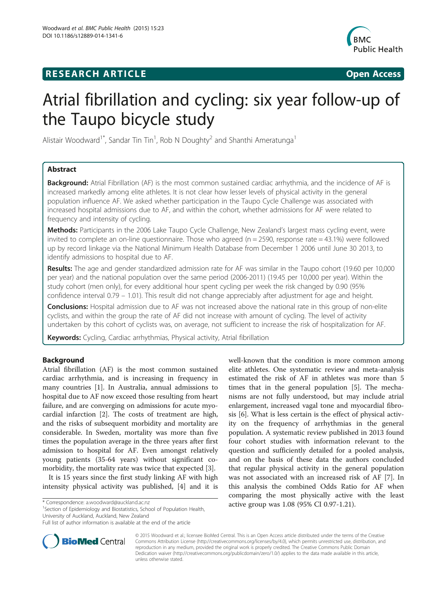# **RESEARCH ARTICLE Example 2018 CONSIDERING CONSIDERING CONSIDERING CONSIDERING CONSIDERING CONSIDERING CONSIDERING CONSIDERING CONSIDERING CONSIDERING CONSIDERING CONSIDERING CONSIDERING CONSIDERING CONSIDERING CONSIDE**



# Atrial fibrillation and cycling: six year follow-up of the Taupo bicycle study

Alistair Woodward<sup>1\*</sup>, Sandar Tin Tin<sup>1</sup>, Rob N Doughty<sup>2</sup> and Shanthi Ameratunga<sup>1</sup>

# Abstract

Background: Atrial Fibrillation (AF) is the most common sustained cardiac arrhythmia, and the incidence of AF is increased markedly among elite athletes. It is not clear how lesser levels of physical activity in the general population influence AF. We asked whether participation in the Taupo Cycle Challenge was associated with increased hospital admissions due to AF, and within the cohort, whether admissions for AF were related to frequency and intensity of cycling.

Methods: Participants in the 2006 Lake Taupo Cycle Challenge, New Zealand's largest mass cycling event, were invited to complete an on-line questionnaire. Those who agreed  $(n = 2590,$  response rate  $= 43.1\%)$  were followed up by record linkage via the National Minimum Health Database from December 1 2006 until June 30 2013, to identify admissions to hospital due to AF.

Results: The age and gender standardized admission rate for AF was similar in the Taupo cohort (19.60 per 10,000 per year) and the national population over the same period (2006-2011) (19.45 per 10,000 per year). Within the study cohort (men only), for every additional hour spent cycling per week the risk changed by 0.90 (95% confidence interval 0.79 – 1.01). This result did not change appreciably after adjustment for age and height.

**Conclusions:** Hospital admission due to AF was not increased above the national rate in this group of non-elite cyclists, and within the group the rate of AF did not increase with amount of cycling. The level of activity undertaken by this cohort of cyclists was, on average, not sufficient to increase the risk of hospitalization for AF.

Keywords: Cycling, Cardiac arrhythmias, Physical activity, Atrial fibrillation

# Background

Atrial fibrillation (AF) is the most common sustained cardiac arrhythmia, and is increasing in frequency in many countries [\[1](#page-5-0)]. In Australia, annual admissions to hospital due to AF now exceed those resulting from heart failure, and are converging on admissions for acute myocardial infarction [[2\]](#page-5-0). The costs of treatment are high, and the risks of subsequent morbidity and mortality are considerable. In Sweden, mortality was more than five times the population average in the three years after first admission to hospital for AF. Even amongst relatively young patients (35-64 years) without significant comorbidity, the mortality rate was twice that expected [\[3\]](#page-5-0).

It is 15 years since the first study linking AF with high intensity physical activity was published, [[4](#page-5-0)] and it is

<sup>1</sup>Section of Epidemiology and Biostatistics, School of Population Health, University of Auckland, Auckland, New Zealand

well-known that the condition is more common among elite athletes. One systematic review and meta-analysis estimated the risk of AF in athletes was more than 5 times that in the general population [[5](#page-5-0)]. The mechanisms are not fully understood, but may include atrial enlargement, increased vagal tone and myocardial fibrosis [\[6\]](#page-5-0). What is less certain is the effect of physical activity on the frequency of arrhythmias in the general population. A systematic review published in 2013 found four cohort studies with information relevant to the question and sufficiently detailed for a pooled analysis, and on the basis of these data the authors concluded that regular physical activity in the general population was not associated with an increased risk of AF [[7](#page-5-0)]. In this analysis the combined Odds Ratio for AF when comparing the most physically active with the least \*Correspondence: [a.woodward@auckland.ac.nz](mailto:a.woodward@auckland.ac.nz) **active group was 1.08 (95% CI 0.97-1.21).** 



© 2015 Woodward et al.; licensee BioMed Central. This is an Open Access article distributed under the terms of the Creative Commons Attribution License [\(http://creativecommons.org/licenses/by/4.0\)](http://creativecommons.org/licenses/by/4.0), which permits unrestricted use, distribution, and reproduction in any medium, provided the original work is properly credited. The Creative Commons Public Domain Dedication waiver [\(http://creativecommons.org/publicdomain/zero/1.0/](http://creativecommons.org/publicdomain/zero/1.0/)) applies to the data made available in this article, unless otherwise stated.

Full list of author information is available at the end of the article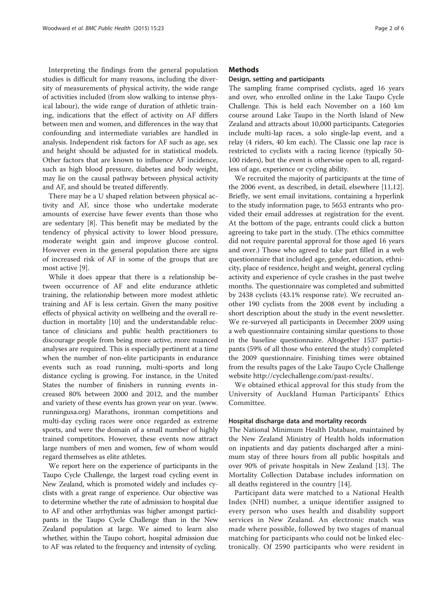Interpreting the findings from the general population studies is difficult for many reasons, including the diversity of measurements of physical activity, the wide range of activities included (from slow walking to intense physical labour), the wide range of duration of athletic training, indications that the effect of activity on AF differs between men and women, and differences in the way that confounding and intermediate variables are handled in analysis. Independent risk factors for AF such as age, sex and height should be adjusted for in statistical models. Other factors that are known to influence AF incidence, such as high blood pressure, diabetes and body weight, may lie on the causal pathway between physical activity and AF, and should be treated differently.

There may be a U shaped relation between physical activity and AF, since those who undertake moderate amounts of exercise have fewer events than those who are sedentary [\[8](#page-5-0)]. This benefit may be mediated by the tendency of physical activity to lower blood pressure, moderate weight gain and improve glucose control. However even in the general population there are signs of increased risk of AF in some of the groups that are most active [[9\]](#page-5-0).

While it does appear that there is a relationship between occurrence of AF and elite endurance athletic training, the relationship between more modest athletic training and AF is less certain. Given the many positive effects of physical activity on wellbeing and the overall reduction in mortality [[10\]](#page-5-0) and the understandable reluctance of clinicians and public health practitioners to discourage people from being more active, more nuanced analyses are required. This is especially pertinent at a time when the number of non-elite participants in endurance events such as road running, multi-sports and long distance cycling is growing. For instance, in the United States the number of finishers in running events increased 80% between 2000 and 2012, and the number and variety of these events has grown year on year. [\(www.](http://www.runningusa.org/) [runningusa.org\)](http://www.runningusa.org/) Marathons, ironman competitions and multi-day cycling races were once regarded as extreme sports, and were the domain of a small number of highly trained competitors. However, these events now attract large numbers of men and women, few of whom would regard themselves as elite athletes.

We report here on the experience of participants in the Taupo Cycle Challenge, the largest road cycling event in New Zealand, which is promoted widely and includes cyclists with a great range of experience. Our objective was to determine whether the rate of admission to hospital due to AF and other arrhythmias was higher amongst participants in the Taupo Cycle Challenge than in the New Zealand population at large. We aimed to learn also whether, within the Taupo cohort, hospital admission due to AF was related to the frequency and intensity of cycling.

# **Methods**

### Design, setting and participants

The sampling frame comprised cyclists, aged 16 years and over, who enrolled online in the Lake Taupo Cycle Challenge. This is held each November on a 160 km course around Lake Taupo in the North Island of New Zealand and attracts about 10,000 participants. Categories include multi-lap races, a solo single-lap event, and a relay (4 riders, 40 km each). The Classic one lap race is restricted to cyclists with a racing licence (typically 50- 100 riders), but the event is otherwise open to all, regardless of age, experience or cycling ability.

We recruited the majority of participants at the time of the 2006 event, as described, in detail, elsewhere [[11,12](#page-5-0)]. Briefly, we sent email invitations, containing a hyperlink to the study information page, to 5653 entrants who provided their email addresses at registration for the event. At the bottom of the page, entrants could click a button agreeing to take part in the study. (The ethics committee did not require parental approval for those aged 16 years and over.) Those who agreed to take part filled in a web questionnaire that included age, gender, education, ethnicity, place of residence, height and weight, general cycling activity and experience of cycle crashes in the past twelve months. The questionnaire was completed and submitted by 2438 cyclists (43.1% response rate). We recruited another 190 cyclists from the 2008 event by including a short description about the study in the event newsletter. We re-surveyed all participants in December 2009 using a web questionnaire containing similar questions to those in the baseline questionnaire. Altogether 1537 participants (59% of all those who entered the study) completed the 2009 questionnaire. Finishing times were obtained from the results pages of the Lake Taupo Cycle Challenge website [http://cyclechallenge.com/past-results/.](http://cyclechallenge.com/past-results/)

We obtained ethical approval for this study from the University of Auckland Human Participants' Ethics Committee.

#### Hospital discharge data and mortality records

The National Minimum Health Database, maintained by the New Zealand Ministry of Health holds information on inpatients and day patients discharged after a minimum stay of three hours from all public hospitals and over 90% of private hospitals in New Zealand [\[13](#page-5-0)]. The Mortality Collection Database includes information on all deaths registered in the country [[14\]](#page-5-0).

Participant data were matched to a National Health Index (NHI) number, a unique identifier assigned to every person who uses health and disability support services in New Zealand. An electronic match was made where possible, followed by two stages of manual matching for participants who could not be linked electronically. Of 2590 participants who were resident in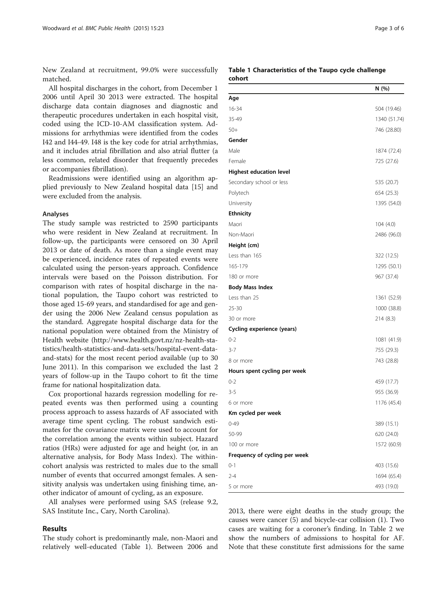New Zealand at recruitment, 99.0% were successfully matched.

All hospital discharges in the cohort, from December 1 2006 until April 30 2013 were extracted. The hospital discharge data contain diagnoses and diagnostic and therapeutic procedures undertaken in each hospital visit, coded using the ICD-10-AM classification system. Admissions for arrhythmias were identified from the codes I42 and I44-49. I48 is the key code for atrial arrhythmias, and it includes atrial fibrillation and also atrial flutter (a less common, related disorder that frequently precedes or accompanies fibrillation).

Readmissions were identified using an algorithm applied previously to New Zealand hospital data [\[15](#page-5-0)] and were excluded from the analysis.

# Analyses

The study sample was restricted to 2590 participants who were resident in New Zealand at recruitment. In follow-up, the participants were censored on 30 April 2013 or date of death. As more than a single event may be experienced, incidence rates of repeated events were calculated using the person-years approach. Confidence intervals were based on the Poisson distribution. For comparison with rates of hospital discharge in the national population, the Taupo cohort was restricted to those aged 15-69 years, and standardised for age and gender using the 2006 New Zealand census population as the standard. Aggregate hospital discharge data for the national population were obtained from the Ministry of Health website ([http://www.health.govt.nz/nz-health-sta](http://www.health.govt.nz/nz-health-statistics/health-statistics-and-data-sets/hospital-event-data-and-stats)[tistics/health-statistics-and-data-sets/hospital-event-data](http://www.health.govt.nz/nz-health-statistics/health-statistics-and-data-sets/hospital-event-data-and-stats)[and-stats\)](http://www.health.govt.nz/nz-health-statistics/health-statistics-and-data-sets/hospital-event-data-and-stats) for the most recent period available (up to 30 June 2011). In this comparison we excluded the last 2 years of follow-up in the Taupo cohort to fit the time frame for national hospitalization data.

Cox proportional hazards regression modelling for repeated events was then performed using a counting process approach to assess hazards of AF associated with average time spent cycling. The robust sandwich estimates for the covariance matrix were used to account for the correlation among the events within subject. Hazard ratios (HRs) were adjusted for age and height (or, in an alternative analysis, for Body Mass Index). The withincohort analysis was restricted to males due to the small number of events that occurred amongst females. A sensitivity analysis was undertaken using finishing time, another indicator of amount of cycling, as an exposure.

All analyses were performed using SAS (release 9.2, SAS Institute Inc., Cary, North Carolina).

#### Results

The study cohort is predominantly male, non-Maori and relatively well-educated (Table 1). Between 2006 and

# Table 1 Characteristics of the Taupo cycle challenge cohort

|                                | N (%)        |
|--------------------------------|--------------|
| Age                            |              |
| 16-34                          | 504 (19.46)  |
| 35-49                          | 1340 (51.74) |
| $50+$                          | 746 (28.80)  |
| Gender                         |              |
| Male                           | 1874 (72.4)  |
| Female                         | 725 (27.6)   |
| <b>Highest education level</b> |              |
| Secondary school or less       | 535 (20.7)   |
| Polytech                       | 654 (25.3)   |
| University                     | 1395 (54.0)  |
| <b>Ethnicity</b>               |              |
| Maori                          | 104(4.0)     |
| Non-Maori                      | 2486 (96.0)  |
| Height (cm)                    |              |
| Less than 165                  | 322 (12.5)   |
| 165-179                        | 1295 (50.1)  |
| 180 or more                    | 967 (37.4)   |
| <b>Body Mass Index</b>         |              |
| Less than 25                   | 1361 (52.9)  |
| $25 - 30$                      | 1000 (38.8)  |
| 30 or more                     | 214 (8.3)    |
| Cycling experience (years)     |              |
| $0 - 2$                        | 1081 (41.9)  |
| $3 - 7$                        | 755 (29.3)   |
| 8 or more                      | 743 (28.8)   |
| Hours spent cycling per week   |              |
| $0 - 2$                        | 459 (17.7)   |
| $3 - 5$                        | 955 (36.9)   |
| 6 or more                      | 1176 (45.4)  |
| Km cycled per week             |              |
| $0 - 49$                       | 389 (15.1)   |
| 50-99                          | 620 (24.0)   |
| 100 or more                    | 1572 (60.9)  |
| Frequency of cycling per week  |              |
| $O-1$                          | 403 (15.6)   |
| $2 - 4$                        | 1694 (65.4)  |
| 5 or more                      | 493 (19.0)   |

2013, there were eight deaths in the study group; the causes were cancer (5) and bicycle-car collision (1). Two cases are waiting for a coroner's finding. In Table [2](#page-3-0) we show the numbers of admissions to hospital for AF. Note that these constitute first admissions for the same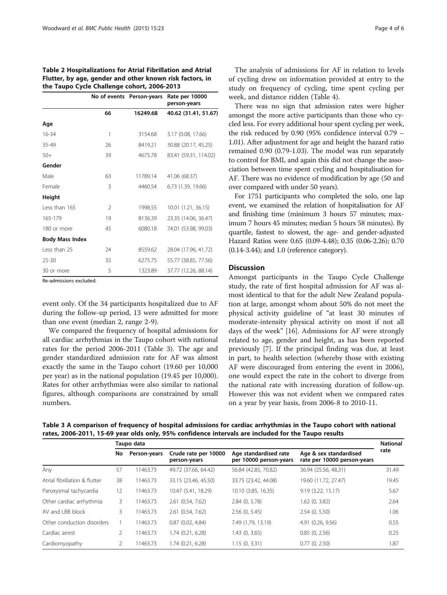<span id="page-3-0"></span>

| Table 2 Hospitalizations for Atrial Fibrillation and Atrial |  |  |  |  |
|-------------------------------------------------------------|--|--|--|--|
| Flutter, by age, gender and other known risk factors, in    |  |  |  |  |
| the Taupo Cycle Challenge cohort, 2006-2013                 |  |  |  |  |

|                        |                | No of events Person-years | Rate per 10000<br>person-years |
|------------------------|----------------|---------------------------|--------------------------------|
|                        | 66             | 16249.68                  | 40.62 (31.41, 51.67)           |
| Age                    |                |                           |                                |
| 16-34                  | 1              | 3154.68                   | 3.17 (0.08, 17.66)             |
| 35-49                  | 26             | 8419.21                   | 30.88 (20.17, 45.25)           |
| $50+$                  | 39             | 4675.78                   | 83.41 (59.31, 114.02)          |
| Gender                 |                |                           |                                |
| Male                   | 63             | 11789.14                  | 41.06 (68.37)                  |
| Female                 | 3              | 4460.54                   | 6.73 (1.39, 19.66)             |
| Height                 |                |                           |                                |
| Less than 165          | $\overline{2}$ | 1998.55                   | 10.01 (1.21, 36.15)            |
| 165-179                | 19             | 8136.39                   | 23.35 (14.06, 36.47)           |
| 180 or more            | 45             | 6080.18                   | 74.01 (53.98, 99.03)           |
| <b>Body Mass Index</b> |                |                           |                                |
| Less than 25           | 24             | 8559.62                   | 28.04 (17.96, 41.72)           |
| $25 - 30$              | 35             | 6275.75                   | 55.77 (38.85, 77.56)           |
| 30 or more             | 5              | 1323.89                   | 37.77 (12.26, 88.14)           |

Re-admissions excluded.

event only. Of the 34 participants hospitalized due to AF during the follow-up period, 13 were admitted for more than one event (median 2, range 2-9).

We compared the frequency of hospital admissions for all cardiac arrhythmias in the Taupo cohort with national rates for the period 2006-2011 (Table 3). The age and gender standardized admission rate for AF was almost exactly the same in the Taupo cohort (19.60 per 10,000 per year) as in the national population (19.45 per 10,000). Rates for other arrhythmias were also similar to national figures, although comparisons are constrained by small numbers.

The analysis of admissions for AF in relation to levels of cycling drew on information provided at entry to the study on frequency of cycling, time spent cycling per week, and distance ridden (Table [4\)](#page-4-0).

There was no sign that admission rates were higher amongst the more active participants than those who cycled less. For every additional hour spent cycling per week, the risk reduced by 0.90 (95% confidence interval 0.79 – 1.01). After adjustment for age and height the hazard ratio remained 0.90 (0.79-1.03). The model was run separately to control for BMI, and again this did not change the association between time spent cycling and hospitalisation for AF. There was no evidence of modification by age (50 and over compared with under 50 years).

For 1751 participants who completed the solo, one lap event, we examined the relation of hospitalisation for AF and finishing time (minimum 3 hours 57 minutes; maximum 7 hours 45 minutes; median 5 hours 58 minutes). By quartile, fastest to slowest, the age- and gender-adjusted Hazard Ratios were 0.65 (0.09-4.48); 0.35 (0.06-2.26); 0.70 (0.14-3.44); and 1.0 (reference category).

# **Discussion**

Amongst participants in the Taupo Cycle Challenge study, the rate of first hospital admission for AF was almost identical to that for the adult New Zealand population at large, amongst whom about 50% do not meet the physical activity guideline of "at least 30 minutes of moderate-intensity physical activity on most if not all days of the week" [[16\]](#page-5-0). Admissions for AF were strongly related to age, gender and height, as has been reported previously [[7\]](#page-5-0). If the principal finding was due, at least in part, to health selection (whereby those with existing AF were discouraged from entering the event in 2006), one would expect the rate in the cohort to diverge from the national rate with increasing duration of follow-up. However this was not evident when we compared rates on a year by year basis, from 2006-8 to 2010-11.

Table 3 A comparison of frequency of hospital admissions for cardiac arrhythmias in the Taupo cohort with national rates, 2006-2011, 15-69 year olds only, 95% confidence intervals are included for the Taupo results

|                               | Taupo data     |              |                                      |                                                 | <b>National</b>                                       |       |
|-------------------------------|----------------|--------------|--------------------------------------|-------------------------------------------------|-------------------------------------------------------|-------|
|                               | No.            | Person-years | Crude rate per 10000<br>person-years | Age standardised rate<br>per 10000 person-years | Age & sex standardised<br>rate per 10000 person-years | rate  |
| Any                           | 57             | 1463.73      | 49.72 (37.66, 64.42)                 | 56.84 (42.85, 70.82)                            | 36.94 (25.56, 48.31)                                  | 31.49 |
| Atrial fibrillation & flutter | 38             | 11463.73     | 33.15 (23.46, 45.50)                 | 33.75 (23.42, 44.08)                            | 19.60 (11.72, 27.47)                                  | 19.45 |
| Paroxysmal tachycardia        | 12             | 11463.73     | 10.47 (5.41, 18.29)                  | 10.10 (3.85, 16.35)                             | 9.19 (3.22, 15.17)                                    | 5.67  |
| Other cardiac arrhythmia      | 3              | 11463.73     | 2.61 (0.54, 7.62)                    | 2.84(0, 5.78)                                   | 1.62(0, 3.82)                                         | 2.64  |
| AV and LBB block              | 3              | 11463.73     | 2.61 (0.54, 7.62)                    | 2.56(0, 5.45)                                   | 2.54(0, 5.50)                                         | 1.06  |
| Other conduction disorders    |                | 11463.73     | $0.87$ $(0.02, 4.84)$                | 7.49 (1.79, 13.19)                              | 4.91 (0.26, 9.56)                                     | 0.55  |
| Cardiac arrest                | $\overline{2}$ | 11463.73     | 1.74 (0.21, 6.28)                    | 1.43 (0, 3.65)                                  | 0.85(0, 2.56)                                         | 0.25  |
| Cardiomyopathy                | 2              | 1463.73      | 1.74 (0.21, 6.28)                    | 1.15(0, 3.31)                                   | 0.77(0, 2.50)                                         | 1.87  |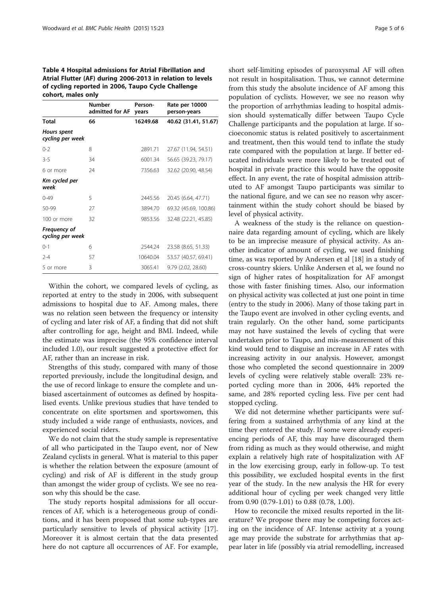# <span id="page-4-0"></span>Table 4 Hospital admissions for Atrial Fibrillation and Atrial Flutter (AF) during 2006-2013 in relation to levels of cycling reported in 2006, Taupo Cycle Challenge cohort, males only

|                                  | <b>Number</b><br>admitted for AF | Person-<br>years | Rate per 10000<br>person-years |
|----------------------------------|----------------------------------|------------------|--------------------------------|
| Total                            | 66                               | 16249.68         | 40.62 (31.41, 51.67)           |
| Hours spent<br>cycling per week  |                                  |                  |                                |
| $0 - 2$                          | 8                                | 2891.71          | 27.67 (11.94, 54.51)           |
| $3 - 5$                          | 34                               | 6001.34          | 56.65 (39.23, 79.17)           |
| 6 or more                        | 24                               | 7356.63          | 32.62 (20.90, 48.54)           |
| Km cycled per<br>week            |                                  |                  |                                |
| $0 - 49$                         | 5                                | 2445.56          | 20.45 (6.64, 47.71)            |
| 50-99                            | 27                               | 3894.70          | 69.32 (45.69, 100.86)          |
| 100 or more                      | 32                               | 9853.56          | 32.48 (22.21, 45.85)           |
| Frequency of<br>cycling per week |                                  |                  |                                |
| $0 - 1$                          | 6                                | 2544.24          | 23.58 (8.65, 51.33)            |
| $2 - 4$                          | 57                               | 10640.04         | 53.57 (40.57, 69.41)           |
| 5 or more                        | 3                                | 3065.41          | 9.79 (2.02, 28.60)             |

Within the cohort, we compared levels of cycling, as reported at entry to the study in 2006, with subsequent admissions to hospital due to AF. Among males, there was no relation seen between the frequency or intensity of cycling and later risk of AF, a finding that did not shift after controlling for age, height and BMI. Indeed, while the estimate was imprecise (the 95% confidence interval included 1.0), our result suggested a protective effect for AF, rather than an increase in risk.

Strengths of this study, compared with many of those reported previously, include the longitudinal design, and the use of record linkage to ensure the complete and unbiased ascertainment of outcomes as defined by hospitalised events. Unlike previous studies that have tended to concentrate on elite sportsmen and sportswomen, this study included a wide range of enthusiasts, novices, and experienced social riders.

We do not claim that the study sample is representative of all who participated in the Taupo event, nor of New Zealand cyclists in general. What is material to this paper is whether the relation between the exposure (amount of cycling) and risk of AF is different in the study group than amongst the wider group of cyclists. We see no reason why this should be the case.

The study reports hospital admissions for all occurrences of AF, which is a heterogeneous group of conditions, and it has been proposed that some sub-types are particularly sensitive to levels of physical activity [\[17](#page-5-0)]. Moreover it is almost certain that the data presented here do not capture all occurrences of AF. For example, short self-limiting episodes of paroxysmal AF will often not result in hospitalisation. Thus, we cannot determine from this study the absolute incidence of AF among this population of cyclists. However, we see no reason why the proportion of arrhythmias leading to hospital admission should systematically differ between Taupo Cycle Challenge participants and the population at large. If socioeconomic status is related positively to ascertainment and treatment, then this would tend to inflate the study rate compared with the population at large. If better educated individuals were more likely to be treated out of hospital in private practice this would have the opposite effect. In any event, the rate of hospital admission attributed to AF amongst Taupo participants was similar to the national figure, and we can see no reason why ascertainment within the study cohort should be biased by level of physical activity.

A weakness of the study is the reliance on questionnaire data regarding amount of cycling, which are likely to be an imprecise measure of physical activity. As another indicator of amount of cycling, we used finishing time, as was reported by Andersen et al [\[18\]](#page-5-0) in a study of cross-country skiers. Unlike Andersen et al, we found no sign of higher rates of hospitalization for AF amongst those with faster finishing times. Also, our information on physical activity was collected at just one point in time (entry to the study in 2006). Many of those taking part in the Taupo event are involved in other cycling events, and train regularly. On the other hand, some participants may not have sustained the levels of cycling that were undertaken prior to Taupo, and mis-measurement of this kind would tend to disguise an increase in AF rates with increasing activity in our analysis. However, amongst those who completed the second questionnaire in 2009 levels of cycling were relatively stable overall: 23% reported cycling more than in 2006, 44% reported the same, and 28% reported cycling less. Five per cent had stopped cycling.

We did not determine whether participants were suffering from a sustained arrhythmia of any kind at the time they entered the study. If some were already experiencing periods of AF, this may have discouraged them from riding as much as they would otherwise, and might explain a relatively high rate of hospitalization with AF in the low exercising group, early in follow-up. To test this possibility, we excluded hospital events in the first year of the study. In the new analysis the HR for every additional hour of cycling per week changed very little from 0.90 (0.79-1.01) to 0.88 (0.78, 1.00).

How to reconcile the mixed results reported in the literature? We propose there may be competing forces acting on the incidence of AF. Intense activity at a young age may provide the substrate for arrhythmias that appear later in life (possibly via atrial remodelling, increased